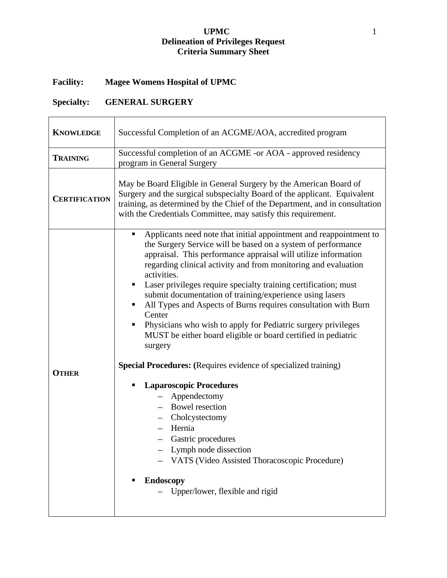## **UPMC** 1 **Delineation of Privileges Request Criteria Summary Sheet**

## **Facility: Magee Womens Hospital of UPMC**

## **Specialty: GENERAL SURGERY**

| <b>KNOWLEDGE</b>     | Successful Completion of an ACGME/AOA, accredited program                                                                                                                                                                                                                                                                                                                                                                                                                                                                                                                                                                                                                                                                                                                                                                                                                                                                                                                                   |  |  |
|----------------------|---------------------------------------------------------------------------------------------------------------------------------------------------------------------------------------------------------------------------------------------------------------------------------------------------------------------------------------------------------------------------------------------------------------------------------------------------------------------------------------------------------------------------------------------------------------------------------------------------------------------------------------------------------------------------------------------------------------------------------------------------------------------------------------------------------------------------------------------------------------------------------------------------------------------------------------------------------------------------------------------|--|--|
| <b>TRAINING</b>      | Successful completion of an ACGME -or AOA - approved residency<br>program in General Surgery                                                                                                                                                                                                                                                                                                                                                                                                                                                                                                                                                                                                                                                                                                                                                                                                                                                                                                |  |  |
| <b>CERTIFICATION</b> | May be Board Eligible in General Surgery by the American Board of<br>Surgery and the surgical subspecialty Board of the applicant. Equivalent<br>training, as determined by the Chief of the Department, and in consultation<br>with the Credentials Committee, may satisfy this requirement.                                                                                                                                                                                                                                                                                                                                                                                                                                                                                                                                                                                                                                                                                               |  |  |
| <b>OTHER</b>         | Applicants need note that initial appointment and reappointment to<br>٠<br>the Surgery Service will be based on a system of performance<br>appraisal. This performance appraisal will utilize information<br>regarding clinical activity and from monitoring and evaluation<br>activities.<br>Laser privileges require specialty training certification; must<br>submit documentation of training/experience using lasers<br>All Types and Aspects of Burns requires consultation with Burn<br>Center<br>Physicians who wish to apply for Pediatric surgery privileges<br>MUST be either board eligible or board certified in pediatric<br>surgery<br><b>Special Procedures:</b> (Requires evidence of specialized training)<br><b>Laparoscopic Procedures</b><br>Appendectomy<br><b>Bowel resection</b><br>Cholcystectomy<br>Hernia<br>Gastric procedures<br>Lymph node dissection<br>VATS (Video Assisted Thoracoscopic Procedure)<br><b>Endoscopy</b><br>Upper/lower, flexible and rigid |  |  |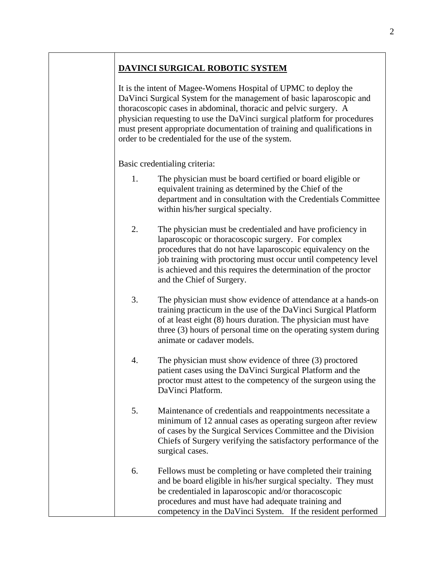## **DAVINCI SURGICAL ROBOTIC SYSTEM**

It is the intent of Magee-Womens Hospital of UPMC to deploy the DaVinci Surgical System for the management of basic laparoscopic and thoracoscopic cases in abdominal, thoracic and pelvic surgery. A physician requesting to use the DaVinci surgical platform for procedures must present appropriate documentation of training and qualifications in order to be credentialed for the use of the system.

Basic credentialing criteria:

- 1. The physician must be board certified or board eligible or equivalent training as determined by the Chief of the department and in consultation with the Credentials Committee within his/her surgical specialty.
- 2. The physician must be credentialed and have proficiency in laparoscopic or thoracoscopic surgery. For complex procedures that do not have laparoscopic equivalency on the job training with proctoring must occur until competency level is achieved and this requires the determination of the proctor and the Chief of Surgery.
- 3. The physician must show evidence of attendance at a hands-on training practicum in the use of the DaVinci Surgical Platform of at least eight (8) hours duration. The physician must have three (3) hours of personal time on the operating system during animate or cadaver models.
- 4. The physician must show evidence of three (3) proctored patient cases using the DaVinci Surgical Platform and the proctor must attest to the competency of the surgeon using the DaVinci Platform.
- 5. Maintenance of credentials and reappointments necessitate a minimum of 12 annual cases as operating surgeon after review of cases by the Surgical Services Committee and the Division Chiefs of Surgery verifying the satisfactory performance of the surgical cases.
- 6. Fellows must be completing or have completed their training and be board eligible in his/her surgical specialty. They must be credentialed in laparoscopic and/or thoracoscopic procedures and must have had adequate training and competency in the DaVinci System. If the resident performed